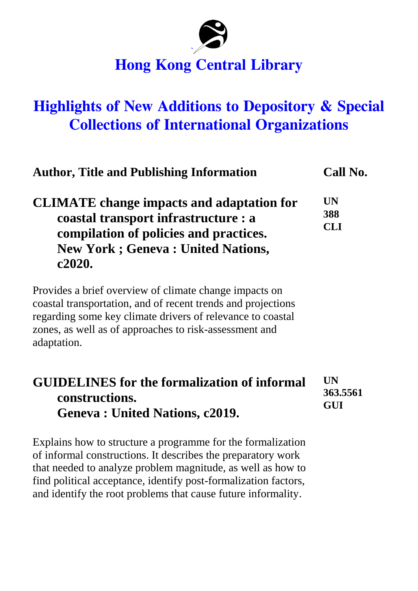

## **Hong Kong Central Library**

## **Highlights of New Additions to Depository & Special Collections of International Organizations**

|                                                                                                                                                                                          | <b>Author, Title and Publishing Information</b>                                                                                                                                                                                                | Call No.                            |
|------------------------------------------------------------------------------------------------------------------------------------------------------------------------------------------|------------------------------------------------------------------------------------------------------------------------------------------------------------------------------------------------------------------------------------------------|-------------------------------------|
| <b>CLIMATE</b> change impacts and adaptation for<br>coastal transport infrastructure : a<br>compilation of policies and practices.<br><b>New York; Geneva: United Nations,</b><br>c2020. |                                                                                                                                                                                                                                                | <b>UN</b><br>388<br><b>CLI</b>      |
| adaptation.                                                                                                                                                                              | Provides a brief overview of climate change impacts on<br>coastal transportation, and of recent trends and projections<br>regarding some key climate drivers of relevance to coastal<br>zones, as well as of approaches to risk-assessment and |                                     |
|                                                                                                                                                                                          |                                                                                                                                                                                                                                                | <b>UN</b><br>363.5561<br><b>GUI</b> |
| <b>GUIDELINES</b> for the formalization of informal<br>constructions.<br><b>Geneva: United Nations, c2019.</b>                                                                           |                                                                                                                                                                                                                                                |                                     |

Explains how to structure a programme for the formalization of informal constructions. It describes the preparatory work that needed to analyze problem magnitude, as well as how to find political acceptance, identify post-formalization factors, and identify the root problems that cause future informality.